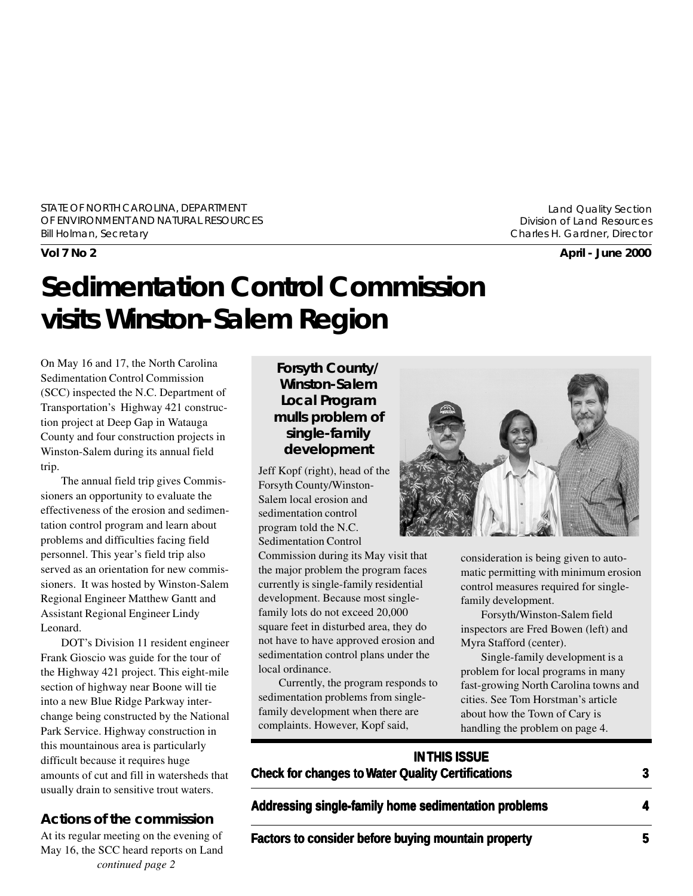STATE OF NORTH CAROLINA, DEPARTMENT OF ENVIRONMENT AND NATURAL RESOURCES Bill Holman, Secretary

Land Quality Section Division of Land Resources Charles H. Gardner, Director

**Vol 7 No 2 April - June 2000**

# **Sedimentation Control Commission visits Winston-Salem Region**

On May 16 and 17, the North Carolina Sedimentation Control Commission (SCC) inspected the N.C. Department of Transportation's Highway 421 construction project at Deep Gap in Watauga County and four construction projects in Winston-Salem during its annual field trip.

The annual field trip gives Commissioners an opportunity to evaluate the effectiveness of the erosion and sedimentation control program and learn about problems and difficulties facing field personnel. This year's field trip also served as an orientation for new commissioners. It was hosted by Winston-Salem Regional Engineer Matthew Gantt and Assistant Regional Engineer Lindy Leonard.

DOT's Division 11 resident engineer Frank Gioscio was guide for the tour of the Highway 421 project. This eight-mile section of highway near Boone will tie into a new Blue Ridge Parkway interchange being constructed by the National Park Service. Highway construction in this mountainous area is particularly difficult because it requires huge amounts of cut and fill in watersheds that usually drain to sensitive trout waters.

#### **Actions of the commission**

At its regular meeting on the evening of May 16, the SCC heard reports on Land *continued page 2*

#### **Forsyth County/ Winston-Salem Local Program mulls problem of single-family development**

Jeff Kopf (right), head of the Forsyth County/Winston-Salem local erosion and sedimentation control program told the N.C. Sedimentation Control

Commission during its May visit that the major problem the program faces currently is single-family residential development. Because most singlefamily lots do not exceed 20,000 square feet in disturbed area, they do not have to have approved erosion and sedimentation control plans under the local ordinance.

Currently, the program responds to sedimentation problems from singlefamily development when there are complaints. However, Kopf said,



consideration is being given to automatic permitting with minimum erosion control measures required for singlefamily development.

Forsyth/Winston-Salem field inspectors are Fred Bowen (left) and Myra Stafford (center).

Single-family development is a problem for local programs in many fast-growing North Carolina towns and cities. See Tom Horstman's article about how the Town of Cary is handling the problem on page 4.

#### **IN THIS ISSUE Check for changes to Water Quality Certifications 3**

Addressing single-family home sedimentation problems 4

**Factors to consider before buying mountain property 6 and 5**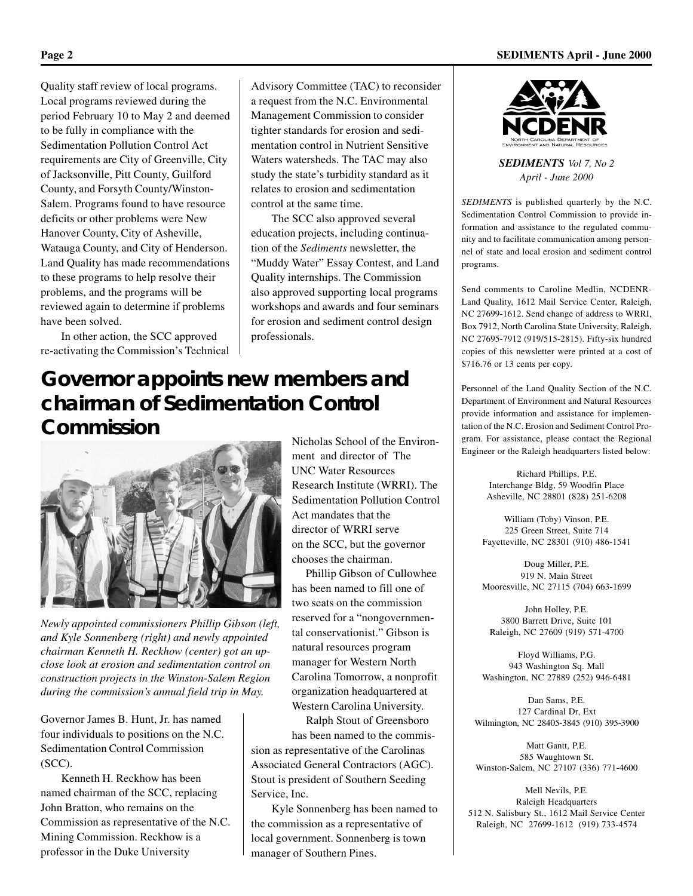Quality staff review of local programs. Local programs reviewed during the period February 10 to May 2 and deemed to be fully in compliance with the Sedimentation Pollution Control Act requirements are City of Greenville, City of Jacksonville, Pitt County, Guilford County, and Forsyth County/Winston-Salem. Programs found to have resource deficits or other problems were New Hanover County, City of Asheville, Watauga County, and City of Henderson. Land Quality has made recommendations to these programs to help resolve their problems, and the programs will be reviewed again to determine if problems have been solved.

In other action, the SCC approved re-activating the Commission's Technical Advisory Committee (TAC) to reconsider a request from the N.C. Environmental Management Commission to consider tighter standards for erosion and sedimentation control in Nutrient Sensitive Waters watersheds. The TAC may also study the state's turbidity standard as it relates to erosion and sedimentation control at the same time.

The SCC also approved several education projects, including continuation of the *Sediments* newsletter, the "Muddy Water" Essay Contest, and Land Quality internships. The Commission also approved supporting local programs workshops and awards and four seminars for erosion and sediment control design professionals.

## **Governor appoints new members and chairman of Sedimentation Control Commission**



*Newly appointed commissioners Phillip Gibson (left, and Kyle Sonnenberg (right) and newly appointed chairman Kenneth H. Reckhow (center) got an upclose look at erosion and sedimentation control on construction projects in the Winston-Salem Region during the commission's annual field trip in May.*

Governor James B. Hunt, Jr. has named four individuals to positions on the N.C. Sedimentation Control Commission (SCC).

Kenneth H. Reckhow has been named chairman of the SCC, replacing John Bratton, who remains on the Commission as representative of the N.C. Mining Commission. Reckhow is a professor in the Duke University

Nicholas School of the Environment and director of The UNC Water Resources Research Institute (WRRI). The Sedimentation Pollution Control Act mandates that the director of WRRI serve on the SCC, but the governor chooses the chairman.

 Phillip Gibson of Cullowhee has been named to fill one of two seats on the commission reserved for a "nongovernmental conservationist." Gibson is natural resources program manager for Western North Carolina Tomorrow, a nonprofit organization headquartered at Western Carolina University.

 Ralph Stout of Greensboro has been named to the commission as representative of the Carolinas Associated General Contractors (AGC). Stout is president of Southern Seeding Service, Inc.

Kyle Sonnenberg has been named to the commission as a representative of local government. Sonnenberg is town manager of Southern Pines.



*SEDIMENTS Vol 7, No 2 April - June 2000*

*SEDIMENTS* is published quarterly by the N.C. Sedimentation Control Commission to provide information and assistance to the regulated community and to facilitate communication among personnel of state and local erosion and sediment control programs.

Send comments to Caroline Medlin, NCDENR-Land Quality, 1612 Mail Service Center, Raleigh, NC 27699-1612. Send change of address to WRRI, Box 7912, North Carolina State University, Raleigh, NC 27695-7912 (919/515-2815). Fifty-six hundred copies of this newsletter were printed at a cost of \$716.76 or 13 cents per copy.

Personnel of the Land Quality Section of the N.C. Department of Environment and Natural Resources provide information and assistance for implementation of the N.C. Erosion and Sediment Control Program. For assistance, please contact the Regional Engineer or the Raleigh headquarters listed below:

> Richard Phillips, P.E. Interchange Bldg, 59 Woodfin Place Asheville, NC 28801 (828) 251-6208

William (Toby) Vinson, P.E. 225 Green Street, Suite 714 Fayetteville, NC 28301 (910) 486-1541

Doug Miller, P.E. 919 N. Main Street Mooresville, NC 27115 (704) 663-1699

John Holley, P.E. 3800 Barrett Drive, Suite 101 Raleigh, NC 27609 (919) 571-4700

Floyd Williams, P.G. 943 Washington Sq. Mall Washington, NC 27889 (252) 946-6481

Dan Sams, P.E. 127 Cardinal Dr, Ext Wilmington, NC 28405-3845 (910) 395-3900

Matt Gantt, P.E. 585 Waughtown St. Winston-Salem, NC 27107 (336) 771-4600

Mell Nevils, P.E. Raleigh Headquarters 512 N. Salisbury St., 1612 Mail Service Center Raleigh, NC 27699-1612 (919) 733-4574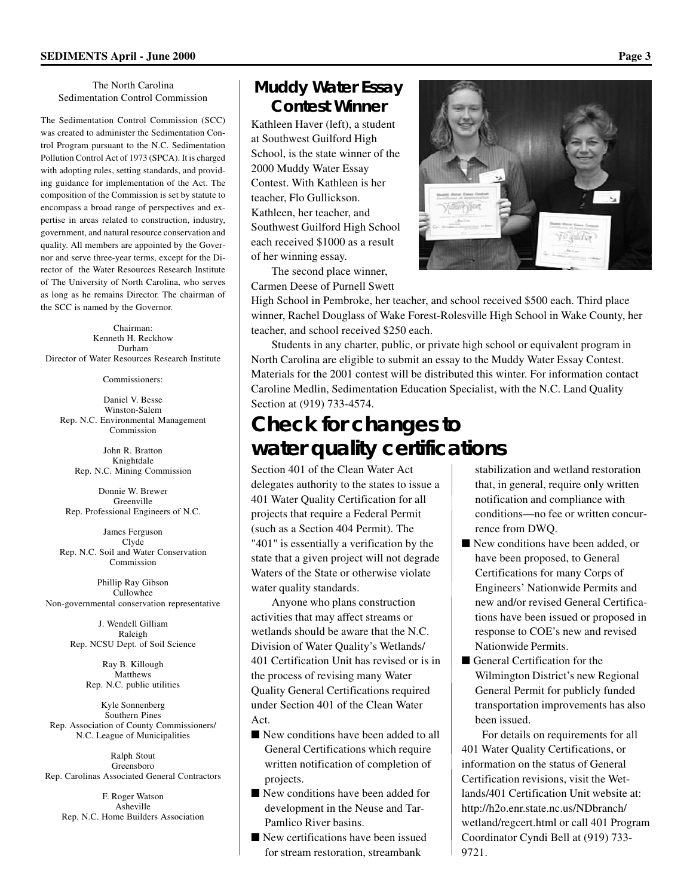#### The North Carolina Sedimentation Control Commission

The Sedimentation Control Commission (SCC) was created to administer the Sedimentation Control Program pursuant to the N.C. Sedimentation Pollution Control Act of 1973 (SPCA). It is charged with adopting rules, setting standards, and providing guidance for implementation of the Act. The composition of the Commission is set by statute to encompass a broad range of perspectives and expertise in areas related to construction, industry, government, and natural resource conservation and quality. All members are appointed by the Governor and serve three-year terms, except for the Director of the Water Resources Research Institute of The University of North Carolina, who serves as long as he remains Director. The chairman of the SCC is named by the Governor.

Chairman: Kenneth H. Reckhow Durham Director of Water Resources Research Institute

Commissioners:

Daniel V. Besse Winston-Salem Rep. N.C. Environmental Management Commission

> John R. Bratton Knightdale Rep. N.C. Mining Commission

Donnie W. Brewer Greenville Rep. Professional Engineers of N.C.

James Ferguson Clyde Rep. N.C. Soil and Water Conservation Commission

Phillip Ray Gibson Cullowhee Non-governmental conservation representative

> J. Wendell Gilliam Raleigh Rep. NCSU Dept. of Soil Science

> > Ray B. Killough Matthews Rep. N.C. public utilities

Kyle Sonnenberg Southern Pines Rep. Association of County Commissioners/ N.C. League of Municipalities

Ralph Stout Greensboro Rep. Carolinas Associated General Contractors

F. Roger Watson Asheville Rep. N.C. Home Builders Association

#### **Muddy Water Essay Contest Winner**

Kathleen Haver (left), a student at Southwest Guilford High School, is the state winner of the 2000 Muddy Water Essay Contest. With Kathleen is her teacher, Flo Gullickson. Kathleen, her teacher, and Southwest Guilford High School each received \$1000 as a result of her winning essay.

The second place winner, Carmen Deese of Purnell Swett

High School in Pembroke, her teacher, and school received \$500 each. Third place winner, Rachel Douglass of Wake Forest-Rolesville High School in Wake County, her teacher, and school received \$250 each.

Students in any charter, public, or private high school or equivalent program in North Carolina are eligible to submit an essay to the Muddy Water Essay Contest. Materials for the 2001 contest will be distributed this winter. For information contact Caroline Medlin, Sedimentation Education Specialist, with the N.C. Land Quality Section at (919) 733-4574.

## **Check for changes to water quality certifications**

Section 401 of the Clean Water Act delegates authority to the states to issue a 401 Water Quality Certification for all projects that require a Federal Permit (such as a Section 404 Permit). The "401" is essentially a verification by the state that a given project will not degrade Waters of the State or otherwise violate water quality standards.

Anyone who plans construction activities that may affect streams or wetlands should be aware that the N.C. Division of Water Quality's Wetlands/ 401 Certification Unit has revised or is in the process of revising many Water Quality General Certifications required under Section 401 of the Clean Water Act.

- New conditions have been added to all General Certifications which require written notification of completion of projects.
- New conditions have been added for development in the Neuse and Tar-Pamlico River basins.
- New certifications have been issued for stream restoration, streambank

stabilization and wetland restoration that, in general, require only written notification and compliance with conditions—no fee or written concurrence from DWQ.

- New conditions have been added, or have been proposed, to General Certifications for many Corps of Engineers' Nationwide Permits and new and/or revised General Certifications have been issued or proposed in response to COE's new and revised Nationwide Permits.
- General Certification for the Wilmington District's new Regional General Permit for publicly funded transportation improvements has also been issued.

For details on requirements for all 401 Water Quality Certifications, or information on the status of General Certification revisions, visit the Wetlands/401 Certification Unit website at: http://h2o.enr.state.nc.us/NDbranch/ wetland/regcert.html or call 401 Program Coordinator Cyndi Bell at (919) 733- 9721.

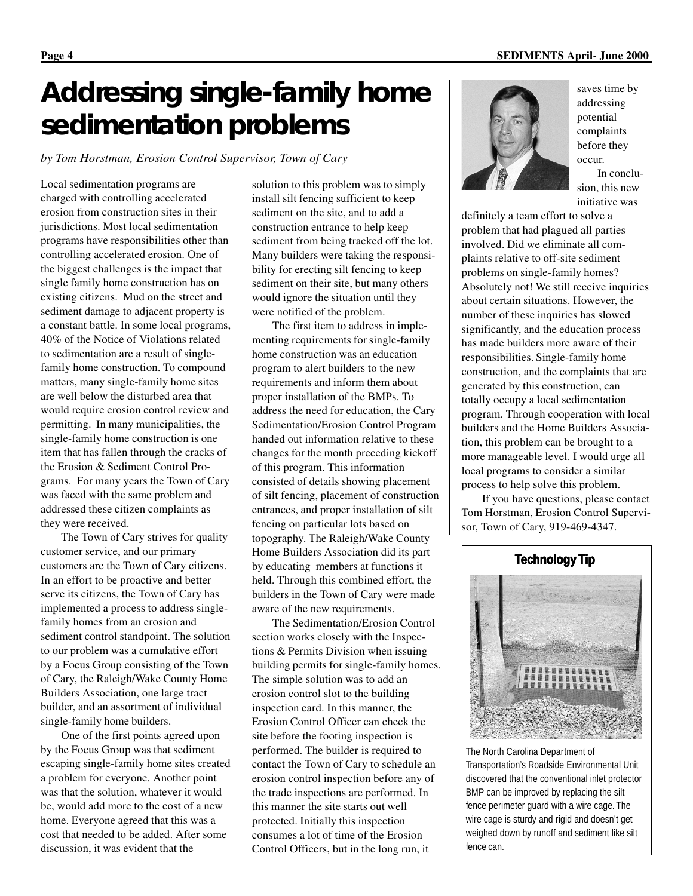# **Addressing single-family home sedimentation problems**

*by Tom Horstman, Erosion Control Supervisor, Town of Cary*

Local sedimentation programs are charged with controlling accelerated erosion from construction sites in their jurisdictions. Most local sedimentation programs have responsibilities other than controlling accelerated erosion. One of the biggest challenges is the impact that single family home construction has on existing citizens. Mud on the street and sediment damage to adjacent property is a constant battle. In some local programs, 40% of the Notice of Violations related to sedimentation are a result of singlefamily home construction. To compound matters, many single-family home sites are well below the disturbed area that would require erosion control review and permitting. In many municipalities, the single-family home construction is one item that has fallen through the cracks of the Erosion & Sediment Control Programs. For many years the Town of Cary was faced with the same problem and addressed these citizen complaints as they were received.

The Town of Cary strives for quality customer service, and our primary customers are the Town of Cary citizens. In an effort to be proactive and better serve its citizens, the Town of Cary has implemented a process to address singlefamily homes from an erosion and sediment control standpoint. The solution to our problem was a cumulative effort by a Focus Group consisting of the Town of Cary, the Raleigh/Wake County Home Builders Association, one large tract builder, and an assortment of individual single-family home builders.

One of the first points agreed upon by the Focus Group was that sediment escaping single-family home sites created a problem for everyone. Another point was that the solution, whatever it would be, would add more to the cost of a new home. Everyone agreed that this was a cost that needed to be added. After some discussion, it was evident that the

solution to this problem was to simply install silt fencing sufficient to keep sediment on the site, and to add a construction entrance to help keep sediment from being tracked off the lot. Many builders were taking the responsibility for erecting silt fencing to keep sediment on their site, but many others would ignore the situation until they were notified of the problem.

The first item to address in implementing requirements for single-family home construction was an education program to alert builders to the new requirements and inform them about proper installation of the BMPs. To address the need for education, the Cary Sedimentation/Erosion Control Program handed out information relative to these changes for the month preceding kickoff of this program. This information consisted of details showing placement of silt fencing, placement of construction entrances, and proper installation of silt fencing on particular lots based on topography. The Raleigh/Wake County Home Builders Association did its part by educating members at functions it held. Through this combined effort, the builders in the Town of Cary were made aware of the new requirements.

The Sedimentation/Erosion Control section works closely with the Inspections & Permits Division when issuing building permits for single-family homes. The simple solution was to add an erosion control slot to the building inspection card. In this manner, the Erosion Control Officer can check the site before the footing inspection is performed. The builder is required to contact the Town of Cary to schedule an erosion control inspection before any of the trade inspections are performed. In this manner the site starts out well protected. Initially this inspection consumes a lot of time of the Erosion Control Officers, but in the long run, it



saves time by addressing potential complaints before they occur.

In conclusion, this new initiative was

definitely a team effort to solve a problem that had plagued all parties involved. Did we eliminate all complaints relative to off-site sediment problems on single-family homes? Absolutely not! We still receive inquiries about certain situations. However, the number of these inquiries has slowed significantly, and the education process has made builders more aware of their responsibilities. Single-family home construction, and the complaints that are generated by this construction, can totally occupy a local sedimentation program. Through cooperation with local builders and the Home Builders Association, this problem can be brought to a more manageable level. I would urge all local programs to consider a similar process to help solve this problem.

If you have questions, please contact Tom Horstman, Erosion Control Supervisor, Town of Cary, 919-469-4347.



The North Carolina Department of Transportation's Roadside Environmental Unit discovered that the conventional inlet protector BMP can be improved by replacing the silt fence perimeter guard with a wire cage. The wire cage is sturdy and rigid and doesn't get weighed down by runoff and sediment like silt fence can.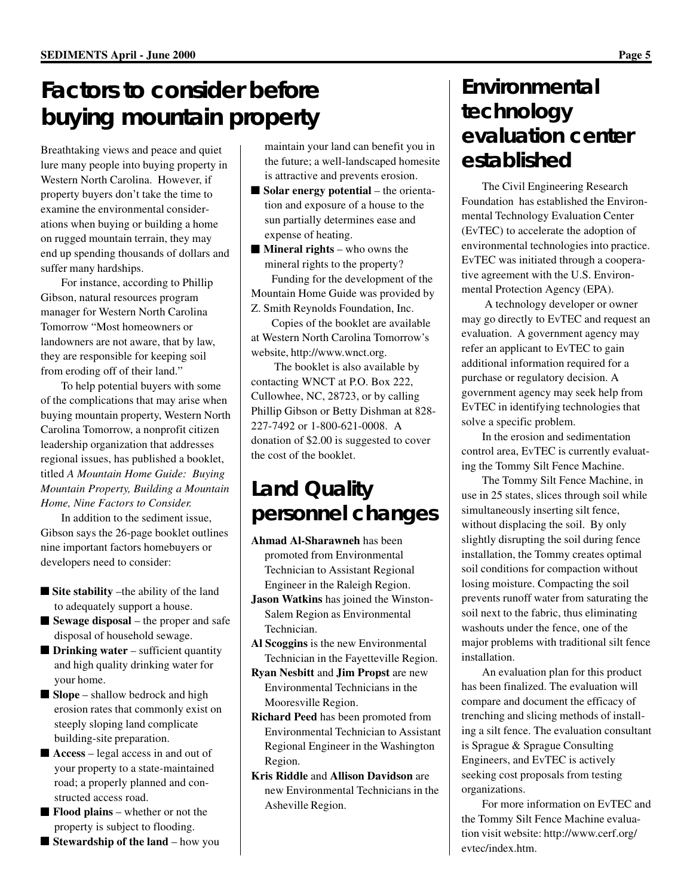## **Factors to consider before buying mountain property**

Breathtaking views and peace and quiet lure many people into buying property in Western North Carolina. However, if property buyers don't take the time to examine the environmental considerations when buying or building a home on rugged mountain terrain, they may end up spending thousands of dollars and suffer many hardships.

For instance, according to Phillip Gibson, natural resources program manager for Western North Carolina Tomorrow "Most homeowners or landowners are not aware, that by law, they are responsible for keeping soil from eroding off of their land."

To help potential buyers with some of the complications that may arise when buying mountain property, Western North Carolina Tomorrow, a nonprofit citizen leadership organization that addresses regional issues, has published a booklet, titled *A Mountain Home Guide: Buying Mountain Property, Building a Mountain Home, Nine Factors to Consider.*

In addition to the sediment issue, Gibson says the 26-page booklet outlines nine important factors homebuyers or developers need to consider:

- **Site stability** –the ability of the land to adequately support a house.
- **Sewage disposal** the proper and safe disposal of household sewage.
- **Drinking water** sufficient quantity and high quality drinking water for your home.
- **Slope** shallow bedrock and high erosion rates that commonly exist on steeply sloping land complicate building-site preparation.
- **Access** legal access in and out of your property to a state-maintained road; a properly planned and constructed access road.
- **Flood plains** whether or not the property is subject to flooding.
- **Stewardship of the land** how you

maintain your land can benefit you in the future; a well-landscaped homesite is attractive and prevents erosion.

- **Solar energy potential** the orientation and exposure of a house to the sun partially determines ease and expense of heating.
- **Mineral rights** who owns the mineral rights to the property?

Funding for the development of the Mountain Home Guide was provided by Z. Smith Reynolds Foundation, Inc.

Copies of the booklet are available at Western North Carolina Tomorrow's website, http://www.wnct.org.

 The booklet is also available by contacting WNCT at P.O. Box 222, Cullowhee, NC, 28723, or by calling Phillip Gibson or Betty Dishman at 828- 227-7492 or 1-800-621-0008. A donation of \$2.00 is suggested to cover the cost of the booklet.

## **Land Quality personnel changes**

- **Ahmad Al-Sharawneh** has been promoted from Environmental Technician to Assistant Regional Engineer in the Raleigh Region.
- **Jason Watkins** has joined the Winston-Salem Region as Environmental Technician.
- **Al Scoggins** is the new Environmental Technician in the Fayetteville Region.
- **Ryan Nesbitt** and **Jim Propst** are new Environmental Technicians in the Mooresville Region.
- **Richard Peed** has been promoted from Environmental Technician to Assistant Regional Engineer in the Washington Region.
- **Kris Riddle** and **Allison Davidson** are new Environmental Technicians in the Asheville Region.

## **Environmental technology evaluation center established**

The Civil Engineering Research Foundation has established the Environmental Technology Evaluation Center (EvTEC) to accelerate the adoption of environmental technologies into practice. EvTEC was initiated through a cooperative agreement with the U.S. Environmental Protection Agency (EPA).

 A technology developer or owner may go directly to EvTEC and request an evaluation. A government agency may refer an applicant to EvTEC to gain additional information required for a purchase or regulatory decision. A government agency may seek help from EvTEC in identifying technologies that solve a specific problem.

In the erosion and sedimentation control area, EvTEC is currently evaluating the Tommy Silt Fence Machine.

The Tommy Silt Fence Machine, in use in 25 states, slices through soil while simultaneously inserting silt fence, without displacing the soil. By only slightly disrupting the soil during fence installation, the Tommy creates optimal soil conditions for compaction without losing moisture. Compacting the soil prevents runoff water from saturating the soil next to the fabric, thus eliminating washouts under the fence, one of the major problems with traditional silt fence installation.

An evaluation plan for this product has been finalized. The evaluation will compare and document the efficacy of trenching and slicing methods of installing a silt fence. The evaluation consultant is Sprague & Sprague Consulting Engineers, and EvTEC is actively seeking cost proposals from testing organizations.

For more information on EvTEC and the Tommy Silt Fence Machine evaluation visit website: http://www.cerf.org/ evtec/index.htm.